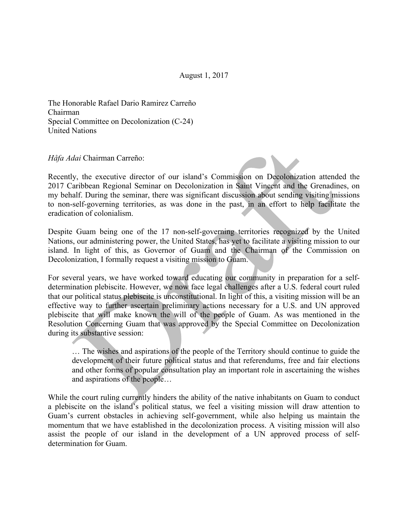The Honorable Rafael Dario Ramirez Carreño Chairman Special Committee on Decolonization (C-24) United Nations

## *Håfa Adai* Chairman Carreño:

Recently, the executive director of our island's Commission on Decolonization attended the 2017 Caribbean Regional Seminar on Decolonization in Saint Vincent and the Grenadines, on my behalf. During the seminar, there was significant discussion about sending visiting missions to non-self-governing territories, as was done in the past, in an effort to help facilitate the eradication of colonialism.

Despite Guam being one of the 17 non-self-governing territories recognized by the United Nations, our administering power, the United States, has yet to facilitate a visiting mission to our island. In light of this, as Governor of Guam and the Chairman of the Commission on Decolonization, I formally request a visiting mission to Guam.

For several years, we have worked toward educating our community in preparation for a selfdetermination plebiscite. However, we now face legal challenges after a U.S. federal court ruled that our political status plebiscite is unconstitutional. In light of this, a visiting mission will be an effective way to further ascertain preliminary actions necessary for a U.S. and UN approved plebiscite that will make known the will of the people of Guam. As was mentioned in the Resolution Concerning Guam that was approved by the Special Committee on Decolonization during its substantive session:

… The wishes and aspirations of the people of the Territory should continue to guide the development of their future political status and that referendums, free and fair elections and other forms of popular consultation play an important role in ascertaining the wishes and aspirations of the people…

While the court ruling currently hinders the ability of the native inhabitants on Guam to conduct a plebiscite on the island's political status, we feel a visiting mission will draw attention to Guam's current obstacles in achieving self-government, while also helping us maintain the momentum that we have established in the decolonization process. A visiting mission will also assist the people of our island in the development of a UN approved process of selfdetermination for Guam.